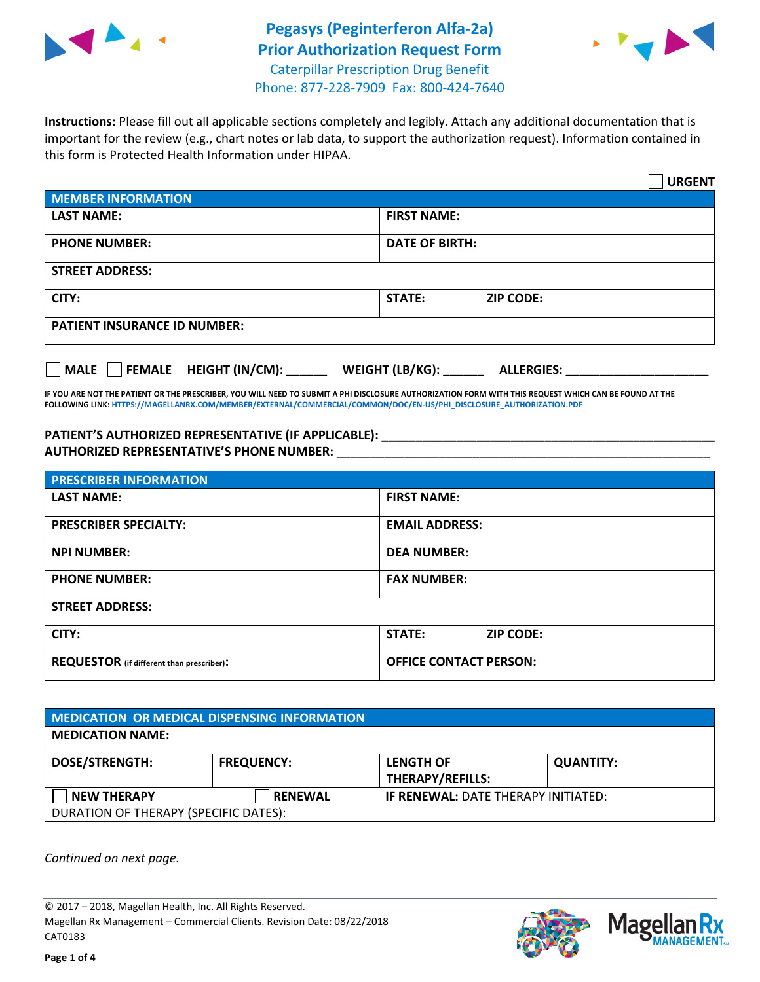

## **Pegasys (Peginterferon Alfa-2a) Prior Authorization Request Form** Caterpillar Prescription Drug Benefit Phone: 877-228-7909 Fax: 800-424-7640



**Instructions:** Please fill out all applicable sections completely and legibly. Attach any additional documentation that is important for the review (e.g., chart notes or lab data, to support the authorization request). Information contained in this form is Protected Health Information under HIPAA.

|                                           | <b>URGENT</b>                          |
|-------------------------------------------|----------------------------------------|
| <b>MEMBER INFORMATION</b>                 |                                        |
| <b>LAST NAME:</b>                         | <b>FIRST NAME:</b>                     |
| <b>PHONE NUMBER:</b>                      | <b>DATE OF BIRTH:</b>                  |
| <b>STREET ADDRESS:</b>                    |                                        |
| CITY:                                     | <b>ZIP CODE:</b><br>STATE:             |
| <b>PATIENT INSURANCE ID NUMBER:</b>       |                                        |
| $\Box$ MALE $\Box$ FEMALE HEIGHT (IN/CM): | WEIGHT (LB/KG): _<br><b>ALLERGIES:</b> |

**IF YOU ARE NOT THE PATIENT OR THE PRESCRIBER, YOU WILL NEED TO SUBMIT A PHI DISCLOSURE AUTHORIZATION FORM WITH THIS REQUEST WHICH CAN BE FOUND AT THE FOLLOWING LINK[: HTTPS://MAGELLANRX.COM/MEMBER/EXTERNAL/COMMERCIAL/COMMON/DOC/EN-US/PHI\\_DISCLOSURE\\_AUTHORIZATION.PDF](https://magellanrx.com/member/external/commercial/common/doc/en-us/PHI_Disclosure_Authorization.pdf)**

**PATIENT'S AUTHORIZED REPRESENTATIVE (IF APPLICABLE): \_\_\_\_\_\_\_\_\_\_\_\_\_\_\_\_\_\_\_\_\_\_\_\_\_\_\_\_\_\_\_\_\_\_\_\_\_\_\_\_\_\_\_\_\_\_\_\_\_ AUTHORIZED REPRESENTATIVE'S PHONE NUMBER:** \_\_\_\_\_\_\_\_\_\_\_\_\_\_\_\_\_\_\_\_\_\_\_\_\_\_\_\_\_\_\_\_\_\_\_\_\_\_\_\_\_\_\_\_\_\_\_\_\_\_\_\_\_\_\_

| <b>PRESCRIBER INFORMATION</b>             |                               |  |
|-------------------------------------------|-------------------------------|--|
| <b>LAST NAME:</b>                         | <b>FIRST NAME:</b>            |  |
| <b>PRESCRIBER SPECIALTY:</b>              | <b>EMAIL ADDRESS:</b>         |  |
| <b>NPI NUMBER:</b>                        | <b>DEA NUMBER:</b>            |  |
| <b>PHONE NUMBER:</b>                      | <b>FAX NUMBER:</b>            |  |
| <b>STREET ADDRESS:</b>                    |                               |  |
| CITY:                                     | STATE:<br><b>ZIP CODE:</b>    |  |
| REQUESTOR (if different than prescriber): | <b>OFFICE CONTACT PERSON:</b> |  |

| <b>MEDICATION OR MEDICAL DISPENSING INFORMATION</b> |                   |                                            |                  |  |
|-----------------------------------------------------|-------------------|--------------------------------------------|------------------|--|
| <b>MEDICATION NAME:</b>                             |                   |                                            |                  |  |
| <b>DOSE/STRENGTH:</b>                               | <b>FREQUENCY:</b> | <b>LENGTH OF</b>                           | <b>QUANTITY:</b> |  |
|                                                     |                   | <b>THERAPY/REFILLS:</b>                    |                  |  |
| <b>NEW THERAPY</b>                                  | <b>RENEWAL</b>    | <b>IF RENEWAL: DATE THERAPY INITIATED:</b> |                  |  |
| DURATION OF THERAPY (SPECIFIC DATES):               |                   |                                            |                  |  |

*Continued on next page.*

© 2017 – 2018, Magellan Health, Inc. All Rights Reserved. Magellan Rx Management – Commercial Clients. Revision Date: 08/22/2018 CAT0183



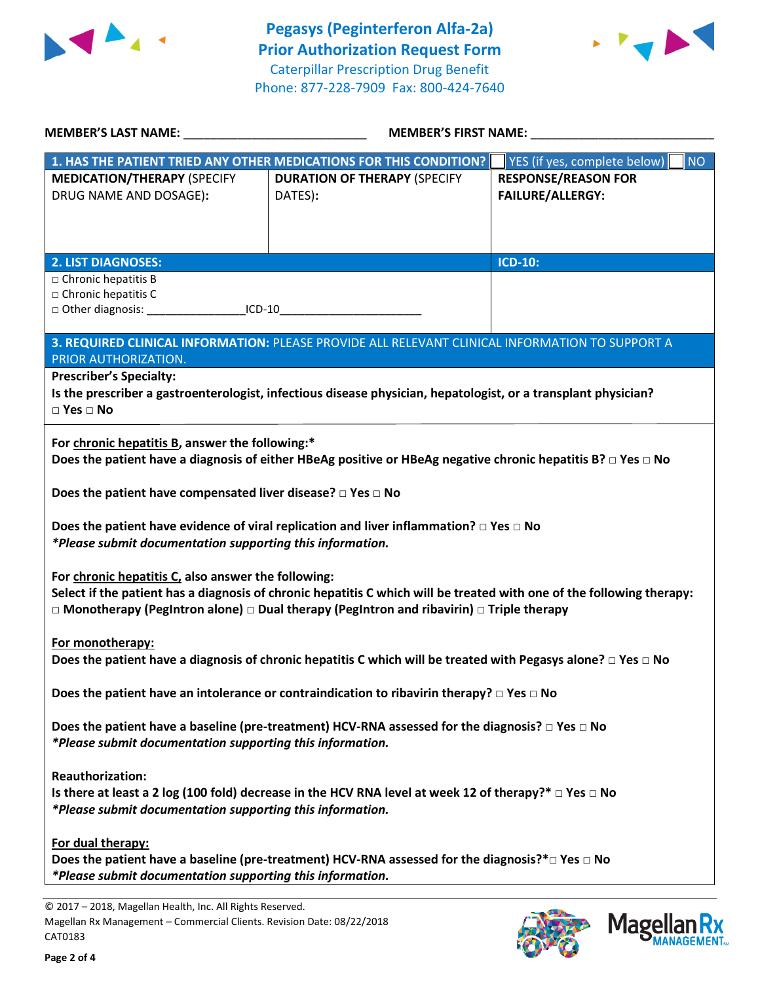



| <b>MEMBER'S LAST NAME:</b>                                                                                                                     | MEMBER'S FIRST NAME:                                                                                                                                                                                                              |                                                       |  |
|------------------------------------------------------------------------------------------------------------------------------------------------|-----------------------------------------------------------------------------------------------------------------------------------------------------------------------------------------------------------------------------------|-------------------------------------------------------|--|
|                                                                                                                                                | 1. HAS THE PATIENT TRIED ANY OTHER MEDICATIONS FOR THIS CONDITION?                                                                                                                                                                | YES (if yes, complete below)<br><b>NO</b>             |  |
| <b>MEDICATION/THERAPY (SPECIFY</b><br>DRUG NAME AND DOSAGE):                                                                                   | <b>DURATION OF THERAPY (SPECIFY</b><br>DATES):                                                                                                                                                                                    | <b>RESPONSE/REASON FOR</b><br><b>FAILURE/ALLERGY:</b> |  |
| <b>2. LIST DIAGNOSES:</b>                                                                                                                      |                                                                                                                                                                                                                                   | <b>ICD-10:</b>                                        |  |
| $\Box$ Chronic hepatitis B                                                                                                                     |                                                                                                                                                                                                                                   |                                                       |  |
| $\square$ Chronic hepatitis C                                                                                                                  |                                                                                                                                                                                                                                   |                                                       |  |
| □ Other diagnosis: ____________________ICD-10__________________________________                                                                |                                                                                                                                                                                                                                   |                                                       |  |
| PRIOR AUTHORIZATION.                                                                                                                           | 3. REQUIRED CLINICAL INFORMATION: PLEASE PROVIDE ALL RELEVANT CLINICAL INFORMATION TO SUPPORT A                                                                                                                                   |                                                       |  |
| <b>Prescriber's Specialty:</b>                                                                                                                 |                                                                                                                                                                                                                                   |                                                       |  |
|                                                                                                                                                | Is the prescriber a gastroenterologist, infectious disease physician, hepatologist, or a transplant physician?                                                                                                                    |                                                       |  |
| $\square$ Yes $\square$ No                                                                                                                     |                                                                                                                                                                                                                                   |                                                       |  |
|                                                                                                                                                |                                                                                                                                                                                                                                   |                                                       |  |
| For chronic hepatitis B, answer the following:*                                                                                                |                                                                                                                                                                                                                                   |                                                       |  |
|                                                                                                                                                | Does the patient have a diagnosis of either HBeAg positive or HBeAg negative chronic hepatitis B? $\Box$ Yes $\Box$ No                                                                                                            |                                                       |  |
| Does the patient have compensated liver disease? $\Box$ Yes $\Box$ No                                                                          |                                                                                                                                                                                                                                   |                                                       |  |
|                                                                                                                                                |                                                                                                                                                                                                                                   |                                                       |  |
|                                                                                                                                                | Does the patient have evidence of viral replication and liver inflammation? $\Box$ Yes $\Box$ No                                                                                                                                  |                                                       |  |
| *Please submit documentation supporting this information.                                                                                      |                                                                                                                                                                                                                                   |                                                       |  |
| For chronic hepatitis C, also answer the following:                                                                                            | Select if the patient has a diagnosis of chronic hepatitis C which will be treated with one of the following therapy:<br>$\Box$ Monotherapy (PegIntron alone) $\Box$ Dual therapy (PegIntron and ribavirin) $\Box$ Triple therapy |                                                       |  |
| For monotherapy:                                                                                                                               | Does the patient have a diagnosis of chronic hepatitis C which will be treated with Pegasys alone? $\Box$ Yes $\Box$ No                                                                                                           |                                                       |  |
|                                                                                                                                                | Does the patient have an intolerance or contraindication to ribavirin therapy? $\Box$ Yes $\Box$ No                                                                                                                               |                                                       |  |
| *Please submit documentation supporting this information.                                                                                      | Does the patient have a baseline (pre-treatment) HCV-RNA assessed for the diagnosis? $\square$ Yes $\square$ No                                                                                                                   |                                                       |  |
| <b>Reauthorization:</b><br>*Please submit documentation supporting this information.                                                           | Is there at least a 2 log (100 fold) decrease in the HCV RNA level at week 12 of therapy?* $\Box$ Yes $\Box$ No                                                                                                                   |                                                       |  |
| For dual therapy:<br>*Please submit documentation supporting this information.                                                                 | Does the patient have a baseline (pre-treatment) HCV-RNA assessed for the diagnosis?* $\Box$ Yes $\Box$ No                                                                                                                        |                                                       |  |
| © 2017 - 2018, Magellan Health, Inc. All Rights Reserved.<br>Magellan Rx Management - Commercial Clients. Revision Date: 08/22/2018<br>CAT0183 |                                                                                                                                                                                                                                   | <b>Mage</b>                                           |  |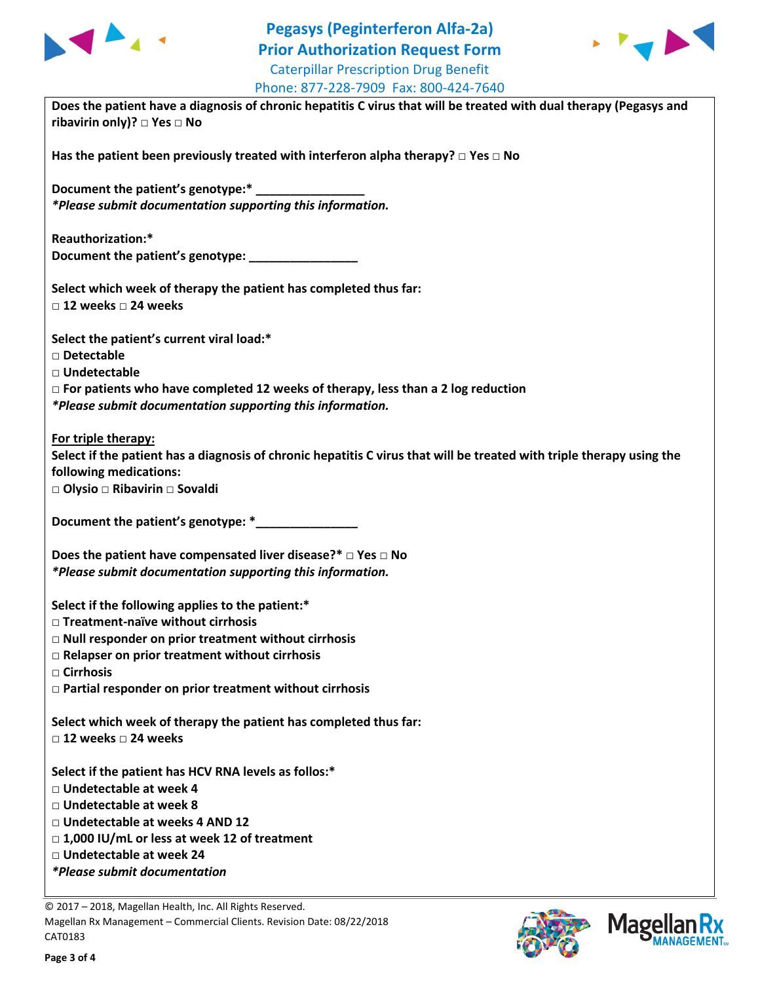

## **Pegasys (Peginterferon Alfa-2a) Prior Authorization Request Form** Caterpillar Prescription Drug Benefit



| Phone: 877-228-7909 Fax: 800-424-7640                                                                                                                                                                                                                                 |
|-----------------------------------------------------------------------------------------------------------------------------------------------------------------------------------------------------------------------------------------------------------------------|
| Does the patient have a diagnosis of chronic hepatitis C virus that will be treated with dual therapy (Pegasys and<br>ribavirin only)? $\Box$ Yes $\Box$ No                                                                                                           |
| Has the patient been previously treated with interferon alpha therapy? $\Box$ Yes $\Box$ No                                                                                                                                                                           |
| Document the patient's genotype:* _________<br>*Please submit documentation supporting this information.                                                                                                                                                              |
| Reauthorization:*<br>Document the patient's genotype: _________________                                                                                                                                                                                               |
| Select which week of therapy the patient has completed thus far:<br>□ 12 weeks □ 24 weeks                                                                                                                                                                             |
| Select the patient's current viral load:*<br>□ Detectable                                                                                                                                                                                                             |
| □ Undetectable<br>$\Box$ For patients who have completed 12 weeks of therapy, less than a 2 log reduction<br>*Please submit documentation supporting this information.                                                                                                |
| For triple therapy:<br>Select if the patient has a diagnosis of chronic hepatitis C virus that will be treated with triple therapy using the<br>following medications:<br>□ Olysio □ Ribavirin □ Sovaldi                                                              |
| Document the patient's genotype: *______________                                                                                                                                                                                                                      |
| Does the patient have compensated liver disease?* $\Box$ Yes $\Box$ No<br>*Please submit documentation supporting this information.                                                                                                                                   |
| Select if the following applies to the patient:*<br>□ Treatment-naïve without cirrhosis<br>$\Box$ Null responder on prior treatment without cirrhosis<br>$\Box$ Relapser on prior treatment without cirrhosis<br>$\Box$ Cirrhosis                                     |
| □ Partial responder on prior treatment without cirrhosis                                                                                                                                                                                                              |
| Select which week of therapy the patient has completed thus far:<br>$\Box$ 12 weeks $\Box$ 24 weeks                                                                                                                                                                   |
| Select if the patient has HCV RNA levels as follos:*<br>□ Undetectable at week 4<br>□ Undetectable at week 8<br>□ Undetectable at weeks 4 AND 12<br>□ 1,000 IU/mL or less at week 12 of treatment<br>□ Undetectable at week 24<br><i>*Please submit documentation</i> |

© 2017 – 2018, Magellan Health, Inc. All Rights Reserved. Magellan Rx Management – Commercial Clients. Revision Date: 08/22/2018 CAT0183